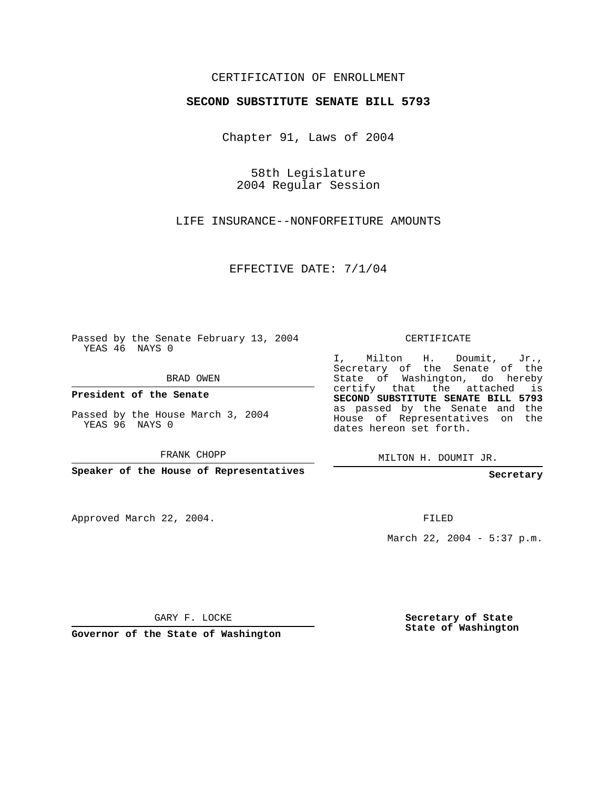## CERTIFICATION OF ENROLLMENT

## **SECOND SUBSTITUTE SENATE BILL 5793**

Chapter 91, Laws of 2004

58th Legislature 2004 Regular Session

LIFE INSURANCE--NONFORFEITURE AMOUNTS

EFFECTIVE DATE: 7/1/04

Passed by the Senate February 13, 2004 YEAS 46 NAYS 0

BRAD OWEN

**President of the Senate**

Passed by the House March 3, 2004 YEAS 96 NAYS 0

FRANK CHOPP

**Speaker of the House of Representatives**

Approved March 22, 2004.

CERTIFICATE

I, Milton H. Doumit, Jr., Secretary of the Senate of the State of Washington, do hereby certify that the attached is **SECOND SUBSTITUTE SENATE BILL 5793** as passed by the Senate and the House of Representatives on the dates hereon set forth.

MILTON H. DOUMIT JR.

**Secretary**

FILED

March 22, 2004 - 5:37 p.m.

GARY F. LOCKE

**Governor of the State of Washington**

**Secretary of State State of Washington**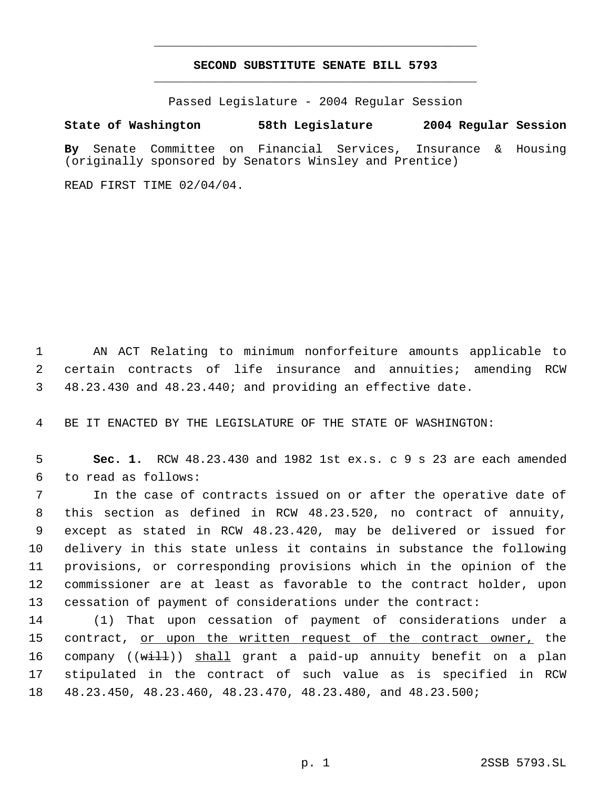## **SECOND SUBSTITUTE SENATE BILL 5793** \_\_\_\_\_\_\_\_\_\_\_\_\_\_\_\_\_\_\_\_\_\_\_\_\_\_\_\_\_\_\_\_\_\_\_\_\_\_\_\_\_\_\_\_\_

\_\_\_\_\_\_\_\_\_\_\_\_\_\_\_\_\_\_\_\_\_\_\_\_\_\_\_\_\_\_\_\_\_\_\_\_\_\_\_\_\_\_\_\_\_

Passed Legislature - 2004 Regular Session

## **State of Washington 58th Legislature 2004 Regular Session**

**By** Senate Committee on Financial Services, Insurance & Housing (originally sponsored by Senators Winsley and Prentice)

READ FIRST TIME 02/04/04.

 1 AN ACT Relating to minimum nonforfeiture amounts applicable to 2 certain contracts of life insurance and annuities; amending RCW 3 48.23.430 and 48.23.440; and providing an effective date.

4 BE IT ENACTED BY THE LEGISLATURE OF THE STATE OF WASHINGTON:

 5 **Sec. 1.** RCW 48.23.430 and 1982 1st ex.s. c 9 s 23 are each amended 6 to read as follows:

 In the case of contracts issued on or after the operative date of this section as defined in RCW 48.23.520, no contract of annuity, except as stated in RCW 48.23.420, may be delivered or issued for delivery in this state unless it contains in substance the following provisions, or corresponding provisions which in the opinion of the commissioner are at least as favorable to the contract holder, upon cessation of payment of considerations under the contract:

14 (1) That upon cessation of payment of considerations under a 15 contract, <u>or upon the written request of the contract owner,</u> the 16 company ((will)) shall grant a paid-up annuity benefit on a plan 17 stipulated in the contract of such value as is specified in RCW 18 48.23.450, 48.23.460, 48.23.470, 48.23.480, and 48.23.500;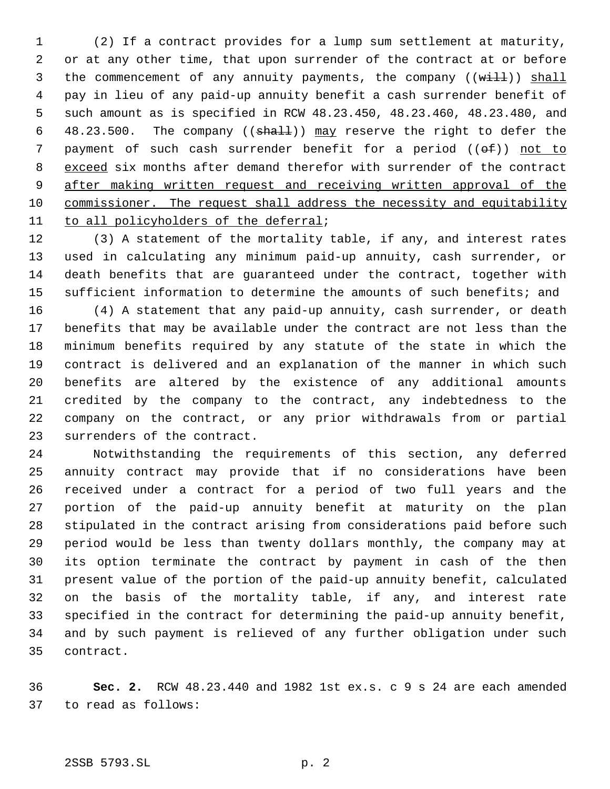(2) If a contract provides for a lump sum settlement at maturity, or at any other time, that upon surrender of the contract at or before 3 the commencement of any annuity payments, the company ((will)) shall pay in lieu of any paid-up annuity benefit a cash surrender benefit of such amount as is specified in RCW 48.23.450, 48.23.460, 48.23.480, and 6 48.23.500. The company (( $shaH$ )) may reserve the right to defer the 7 payment of such cash surrender benefit for a period  $((e f))$  not to exceed six months after demand therefor with surrender of the contract 9 after making written request and receiving written approval of the commissioner. The request shall address the necessity and equitability to all policyholders of the deferral;

 (3) A statement of the mortality table, if any, and interest rates used in calculating any minimum paid-up annuity, cash surrender, or death benefits that are guaranteed under the contract, together with sufficient information to determine the amounts of such benefits; and

 (4) A statement that any paid-up annuity, cash surrender, or death benefits that may be available under the contract are not less than the minimum benefits required by any statute of the state in which the contract is delivered and an explanation of the manner in which such benefits are altered by the existence of any additional amounts credited by the company to the contract, any indebtedness to the company on the contract, or any prior withdrawals from or partial surrenders of the contract.

 Notwithstanding the requirements of this section, any deferred annuity contract may provide that if no considerations have been received under a contract for a period of two full years and the portion of the paid-up annuity benefit at maturity on the plan stipulated in the contract arising from considerations paid before such period would be less than twenty dollars monthly, the company may at its option terminate the contract by payment in cash of the then present value of the portion of the paid-up annuity benefit, calculated on the basis of the mortality table, if any, and interest rate specified in the contract for determining the paid-up annuity benefit, and by such payment is relieved of any further obligation under such contract.

 **Sec. 2.** RCW 48.23.440 and 1982 1st ex.s. c 9 s 24 are each amended to read as follows: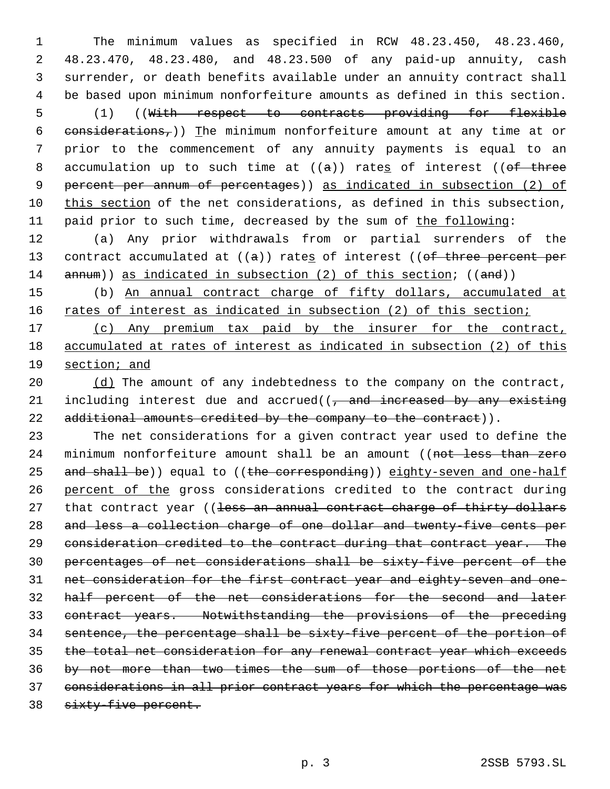The minimum values as specified in RCW 48.23.450, 48.23.460, 48.23.470, 48.23.480, and 48.23.500 of any paid-up annuity, cash surrender, or death benefits available under an annuity contract shall be based upon minimum nonforfeiture amounts as defined in this section. (1) ((With respect to contracts providing for flexible 6 considerations,)) The minimum nonforfeiture amount at any time at or prior to the commencement of any annuity payments is equal to an 8 accumulation up to such time at  $((a))$  rates of interest  $((of-three$  percent per annum of percentages)) as indicated in subsection (2) of this section of the net considerations, as defined in this subsection, 11 paid prior to such time, decreased by the sum of the following:

 (a) Any prior withdrawals from or partial surrenders of the 13 contract accumulated at  $((a))$  rates of interest  $((of three percent per$ 14  $\frac{1}{2}$  annum)) as indicated in subsection (2) of this section; ((and))

 (b) An annual contract charge of fifty dollars, accumulated at 16 rates of interest as indicated in subsection (2) of this section;

 (c) Any premium tax paid by the insurer for the contract, accumulated at rates of interest as indicated in subsection (2) of this section; and

 $( d )$  The amount of any indebtedness to the company on the contract, 21 including interest due and accrued((, and increased by any existing 22 additional amounts credited by the company to the contract)).

 The net considerations for a given contract year used to define the 24 minimum nonforfeiture amount shall be an amount ((not less than zero 25 and shall be)) equal to ((the corresponding)) eighty-seven and one-half 26 percent of the gross considerations credited to the contract during 27 that contract year ((less an annual contract charge of thirty dollars and less a collection charge of one dollar and twenty-five cents per consideration credited to the contract during that contract year. The percentages of net considerations shall be sixty-five percent of the net consideration for the first contract year and eighty-seven and one- half percent of the net considerations for the second and later contract years. Notwithstanding the provisions of the preceding sentence, the percentage shall be sixty-five percent of the portion of the total net consideration for any renewal contract year which exceeds by not more than two times the sum of those portions of the net considerations in all prior contract years for which the percentage was 38 sixty-five percent.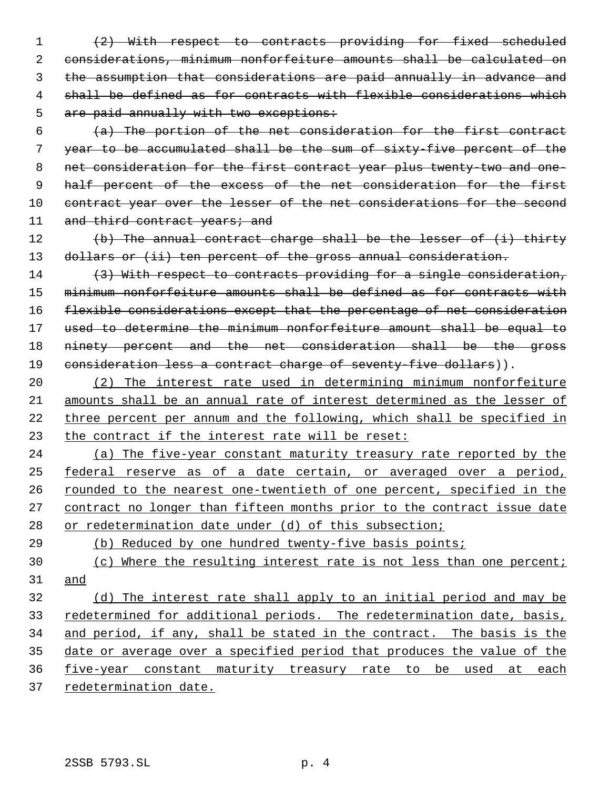(2) With respect to contracts providing for fixed scheduled considerations, minimum nonforfeiture amounts shall be calculated on the assumption that considerations are paid annually in advance and shall be defined as for contracts with flexible considerations which 5 are paid annually with two exceptions:

 (a) The portion of the net consideration for the first contract year to be accumulated shall be the sum of sixty-five percent of the net consideration for the first contract year plus twenty-two and one- 9 half percent of the excess of the net consideration for the first 10 contract year over the lesser of the net considerations for the second 11 and third contract years; and

12 (b) The annual contract charge shall be the lesser of (i) thirty 13 dollars or (ii) ten percent of the gross annual consideration.

14 (3) With respect to contracts providing for a single consideration, minimum nonforfeiture amounts shall be defined as for contracts with flexible considerations except that the percentage of net consideration used to determine the minimum nonforfeiture amount shall be equal to 18 ninety percent and the net consideration shall be the gross 19 consideration less a contract charge of seventy-five dollars)).

 (2) The interest rate used in determining minimum nonforfeiture amounts shall be an annual rate of interest determined as the lesser of three percent per annum and the following, which shall be specified in the contract if the interest rate will be reset:

24 (a) The five-year constant maturity treasury rate reported by the federal reserve as of a date certain, or averaged over a period, rounded to the nearest one-twentieth of one percent, specified in the contract no longer than fifteen months prior to the contract issue date 28 or redetermination date under (d) of this subsection;

(b) Reduced by one hundred twenty-five basis points;

30 (c) Where the resulting interest rate is not less than one percent; and

 (d) The interest rate shall apply to an initial period and may be 33 redetermined for additional periods. The redetermination date, basis, 34 and period, if any, shall be stated in the contract. The basis is the date or average over a specified period that produces the value of the five-year constant maturity treasury rate to be used at each redetermination date.